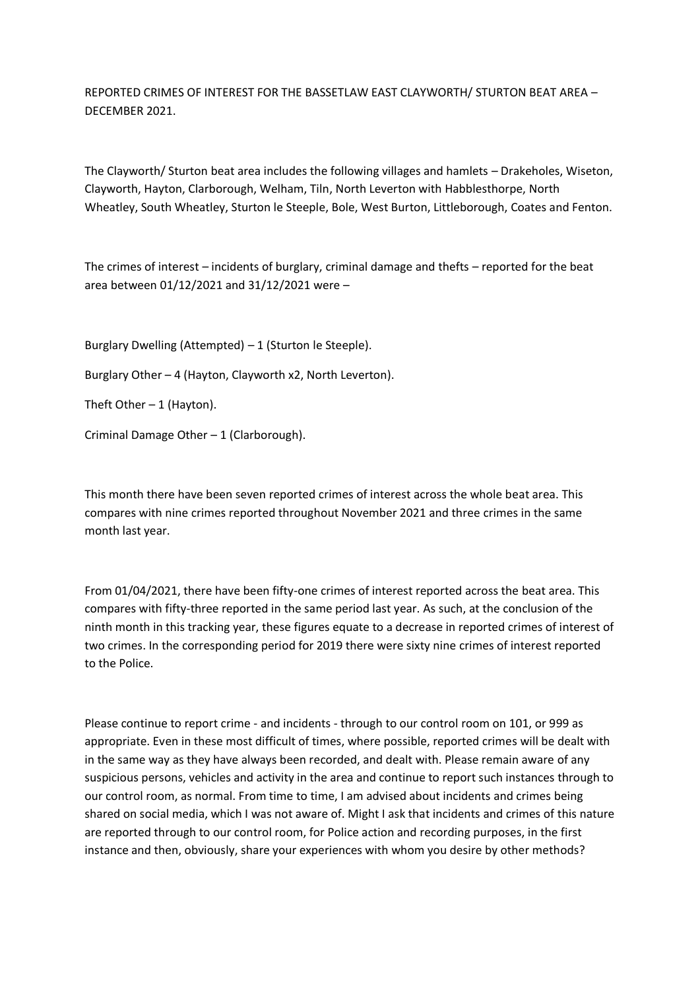REPORTED CRIMES OF INTEREST FOR THE BASSETLAW EAST CLAYWORTH/ STURTON BEAT AREA – DECEMBER 2021.

The Clayworth/ Sturton beat area includes the following villages and hamlets – Drakeholes, Wiseton, Clayworth, Hayton, Clarborough, Welham, Tiln, North Leverton with Habblesthorpe, North Wheatley, South Wheatley, Sturton le Steeple, Bole, West Burton, Littleborough, Coates and Fenton.

The crimes of interest – incidents of burglary, criminal damage and thefts – reported for the beat area between 01/12/2021 and 31/12/2021 were –

Burglary Dwelling (Attempted) – 1 (Sturton le Steeple).

Burglary Other – 4 (Hayton, Clayworth x2, North Leverton).

Theft Other  $-1$  (Hayton).

Criminal Damage Other – 1 (Clarborough).

This month there have been seven reported crimes of interest across the whole beat area. This compares with nine crimes reported throughout November 2021 and three crimes in the same month last year.

From 01/04/2021, there have been fifty-one crimes of interest reported across the beat area. This compares with fifty-three reported in the same period last year. As such, at the conclusion of the ninth month in this tracking year, these figures equate to a decrease in reported crimes of interest of two crimes. In the corresponding period for 2019 there were sixty nine crimes of interest reported to the Police.

Please continue to report crime - and incidents - through to our control room on 101, or 999 as appropriate. Even in these most difficult of times, where possible, reported crimes will be dealt with in the same way as they have always been recorded, and dealt with. Please remain aware of any suspicious persons, vehicles and activity in the area and continue to report such instances through to our control room, as normal. From time to time, I am advised about incidents and crimes being shared on social media, which I was not aware of. Might I ask that incidents and crimes of this nature are reported through to our control room, for Police action and recording purposes, in the first instance and then, obviously, share your experiences with whom you desire by other methods?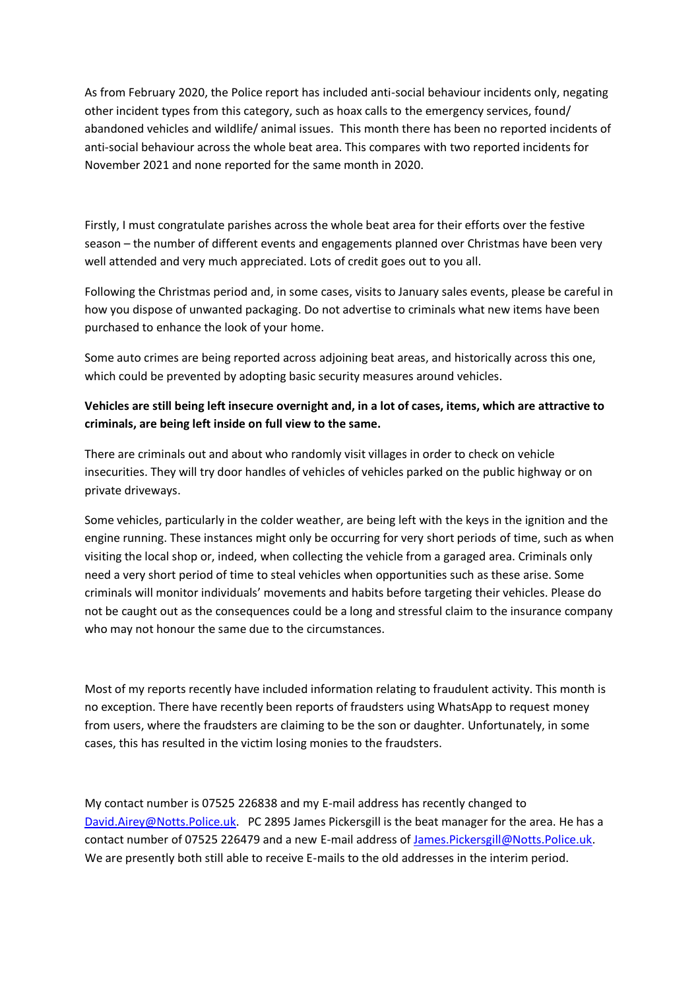As from February 2020, the Police report has included anti-social behaviour incidents only, negating other incident types from this category, such as hoax calls to the emergency services, found/ abandoned vehicles and wildlife/ animal issues. This month there has been no reported incidents of anti-social behaviour across the whole beat area. This compares with two reported incidents for November 2021 and none reported for the same month in 2020.

Firstly, I must congratulate parishes across the whole beat area for their efforts over the festive season – the number of different events and engagements planned over Christmas have been very well attended and very much appreciated. Lots of credit goes out to you all.

Following the Christmas period and, in some cases, visits to January sales events, please be careful in how you dispose of unwanted packaging. Do not advertise to criminals what new items have been purchased to enhance the look of your home.

Some auto crimes are being reported across adjoining beat areas, and historically across this one, which could be prevented by adopting basic security measures around vehicles.

## **Vehicles are still being left insecure overnight and, in a lot of cases, items, which are attractive to criminals, are being left inside on full view to the same.**

There are criminals out and about who randomly visit villages in order to check on vehicle insecurities. They will try door handles of vehicles of vehicles parked on the public highway or on private driveways.

Some vehicles, particularly in the colder weather, are being left with the keys in the ignition and the engine running. These instances might only be occurring for very short periods of time, such as when visiting the local shop or, indeed, when collecting the vehicle from a garaged area. Criminals only need a very short period of time to steal vehicles when opportunities such as these arise. Some criminals will monitor individuals' movements and habits before targeting their vehicles. Please do not be caught out as the consequences could be a long and stressful claim to the insurance company who may not honour the same due to the circumstances.

Most of my reports recently have included information relating to fraudulent activity. This month is no exception. There have recently been reports of fraudsters using WhatsApp to request money from users, where the fraudsters are claiming to be the son or daughter. Unfortunately, in some cases, this has resulted in the victim losing monies to the fraudsters.

My contact number is 07525 226838 and my E-mail address has recently changed to [David.Airey@Notts.Police.uk.](about:blank) PC 2895 James Pickersgill is the beat manager for the area. He has a contact number of 07525 226479 and a new E-mail address of [James.Pickersgill@Notts.Police.uk.](about:blank) We are presently both still able to receive E-mails to the old addresses in the interim period.